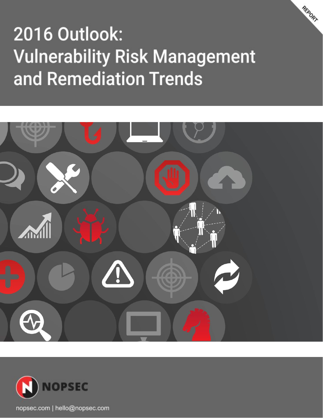# 2016 Outlook: **Vulnerability Risk Management** and Remediation Trends

REPORT



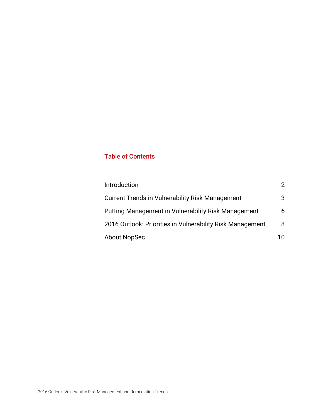### Table of Contents

| Introduction                                               | 2   |
|------------------------------------------------------------|-----|
| <b>Current Trends in Vulnerability Risk Management</b>     | 3   |
| <b>Putting Management in Vulnerability Risk Management</b> | 6   |
| 2016 Outlook: Priorities in Vulnerability Risk Management  | 8   |
| About NopSec                                               | 1 N |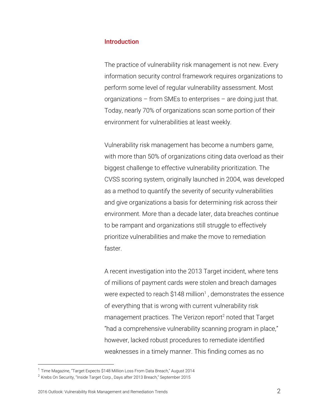#### <span id="page-2-0"></span>**Introduction**

The practice of vulnerability risk management is not new. Every information security control framework requires organizations to perform some level of regular vulnerability assessment. Most organizations – from SMEs to enterprises – are doing just that. Today, nearly 70% of organizations scan some portion of their environment for vulnerabilities at least weekly.

Vulnerability risk management has become a numbers game, with more than 50% of organizations citing data overload as their biggest challenge to effective vulnerability prioritization. The CVSS scoring system, originally launched in 2004, was developed as a method to quantify the severity of security vulnerabilities and give organizations a basis for determining risk across their environment. More than a decade later, data breaches continue to be rampant and organizations still struggle to effectively prioritize vulnerabilities and make the move to remediation faster.

A recent investigation into the 2013 Target incident, where tens of millions of payment cards were stolen and breach damages were expected to reach \$148 million<sup>1</sup>, demonstrates the essence of everything that is wrong with current vulnerability risk management practices. The Verizon report<sup>2</sup> noted that Target "had a comprehensive vulnerability scanning program in place," however, lacked robust procedures to remediate identified weaknesses in a timely manner. This finding comes as no

<sup>&</sup>lt;sup>1</sup> Time Magazine, "Target Expects \$148 Million Loss From Data Breach," August 2014

<sup>2</sup> Krebs On Security, "Inside Target Corp., Days after 2013 Breach," September 2015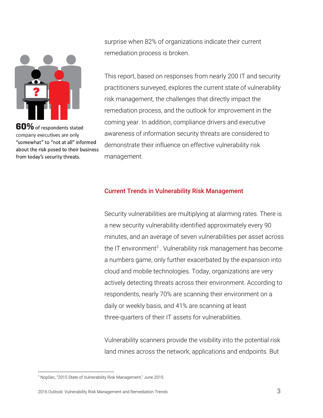

60% of respondents stated company executives are only "somewhat" to "not at all" informed about the risk posed to their business from today's security threats.

surprise when 82% of organizations indicate their current remediation process is broken.

This report, based on responses from nearly 200 IT and security practitioners surveyed, explores the current state of vulnerability risk management, the challenges that directly impact the remediation process, and the outlook for improvement in the coming year. In addition, compliance drivers and executive awareness of information security threats are considered to demonstrate their influence on effective vulnerability risk management.

#### <span id="page-3-0"></span>Current Trends in Vulnerability Risk Management

Security vulnerabilities are multiplying at alarming rates. There is a new security vulnerability identified approximately every 90 minutes, and an average of seven vulnerabilities per asset across the IT environment<sup>3</sup>. Vulnerability risk management has become a numbers game, only further exacerbated by the expansion into cloud and mobile technologies. Today, organizations are very actively detecting threats across their environment. According to respondents, nearly 70% are scanning their environment on a daily or weekly basis, and 41% are scanning at least three-quarters of their IT assets for vulnerabilities.

Vulnerability scanners provide the visibility into the potential risk land mines across the network, applications and endpoints. But

<sup>&</sup>lt;sup>3</sup> NopSec, "2015 State of Vulnerability Risk Management," June 2015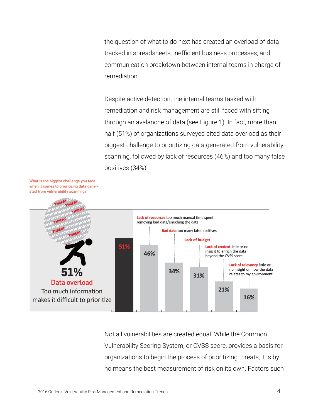the question of what to do next has created an overload of data tracked in spreadsheets, inefficient business processes, and communication breakdown between internal teams in charge of remediation.

Despite active detection, the internal teams tasked with remediation and risk management are still faced with sifting through an avalanche of data (see Figure 1). In fact, more than half (51%) of organizations surveyed cited data overload as their biggest challenge to prioritizing data generated from vulnerability scanning, followed by lack of resources (46%) and too many false positives (34%).



Not all vulnerabilities are created equal. While the Common Vulnerability Scoring System, or CVSS score, provides a basis for organizations to begin the process of prioritizing threats, it is by no means the best measurement of risk on its own. Factors such

What is the biggest challenge you face when it comes to prioritizing data generated from vulnerability scanning?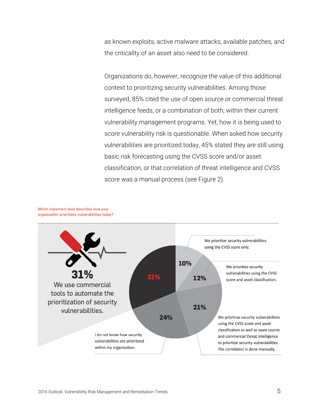as known exploits, active malware attacks, available patches, and the criticality of an asset also need to be considered.

Organizations do, however, recognize the value of this additional context to prioritizing security vulnerabilities. Among those surveyed, 85% cited the use of open source or commercial threat intelligence feeds, or a combination of both, within their current vulnerability management programs. Yet, how it is being used to score vulnerability risk is questionable. When asked how security vulnerabilities are prioritized today, 45% stated they are still using basic risk forecasting using the CVSS score and/or asset classification, or that correlation of threat intelligence and CVSS score was a manual process (see Figure 2).



Which statement best describes how your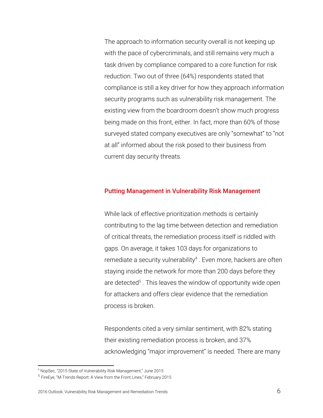The approach to information security overall is not keeping up with the pace of cybercriminals, and still remains very much a task driven by compliance compared to a core function for risk reduction. Two out of three (64%) respondents stated that compliance is still a key driver for how they approach information security programs such as vulnerability risk management. The existing view from the boardroom doesn't show much progress being made on this front, either. In fact, more than 60% of those surveyed stated company executives are only "somewhat" to "not at all" informed about the risk posed to their business from current day security threats.

#### <span id="page-6-0"></span>Putting Management in Vulnerability Risk Management

While lack of effective prioritization methods is certainly contributing to the lag time between detection and remediation of critical threats, the remediation process itself is riddled with gaps. On average, it takes 103 days for organizations to remediate a security vulnerability<sup>4</sup>. Even more, hackers are often staying inside the network for more than 200 days before they are detected<sup>5</sup>. This leaves the window of opportunity wide open for attackers and offers clear evidence that the remediation process is broken.

Respondents cited a very similar sentiment, with 82% stating their existing remediation process is broken, and 37% acknowledging "major improvement" is needed. There are many

<sup>4</sup> NopSec, "2015 State of Vulnerability Risk Management," June 2015

<sup>5</sup> FireEye, "M-Trends Report: A View from the Front Lines," February 2015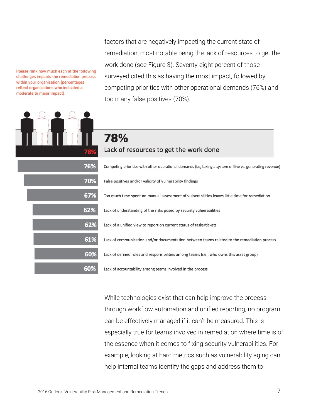Please rank how much each of the following challenges impacts the remediation process within your organization (percentages reflect organizations who indicated a moderate to major impact).



factors that are negatively impacting the current state of remediation, most notable being the lack of resources to get the work done (see Figure 3). Seventy-eight percent of those surveyed cited this as having the most impact, followed by competing priorities with other operational demands (76%) and too many false positives (70%).

## 78% Lack of resources to get the work done

Competing priorities with other operational demands (i.e, taking a system offline vs. generating revenue) False positives and/or validity of vulnerability findings Too much time spent on manual assessment of vulnerabilities leaves little time for remediation Lack of understanding of the risks posed by security vulnerabilities Lack of a unified view to report on current status of tasks/tickets Lack of communication and/or documentation between teams related to the remediation process Lack of defined roles and responsibilities among teams (i.e., who owns this asset group) Lack of accountability among teams involved in the process

While technologies exist that can help improve the process through workflow automation and unified reporting, no program can be effectively managed if it can't be measured. This is especially true for teams involved in remediation where time is of the essence when it comes to fixing security vulnerabilities. For example, looking at hard metrics such as vulnerability aging can help internal teams identify the gaps and address them to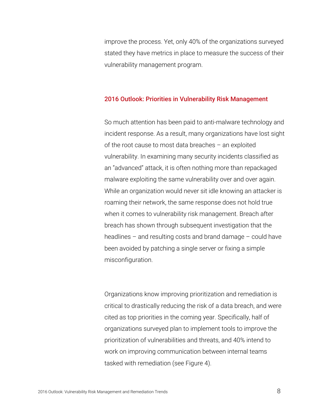improve the process. Yet, only 40% of the organizations surveyed stated they have metrics in place to measure the success of their vulnerability management program.

#### <span id="page-8-0"></span>2016 Outlook: Priorities in Vulnerability Risk Management

So much attention has been paid to anti-malware technology and incident response. As a result, many organizations have lost sight of the root cause to most data breaches – an exploited vulnerability. In examining many security incidents classified as an "advanced" attack, it is often nothing more than repackaged malware exploiting the same vulnerability over and over again. While an organization would never sit idle knowing an attacker is roaming their network, the same response does not hold true when it comes to vulnerability risk management. Breach after breach has shown through subsequent investigation that the headlines – and resulting costs and brand damage – could have been avoided by patching a single server or fixing a simple misconfiguration.

Organizations know improving prioritization and remediation is critical to drastically reducing the risk of a data breach, and were cited as top priorities in the coming year. Specifically, half of organizations surveyed plan to implement tools to improve the prioritization of vulnerabilities and threats, and 40% intend to work on improving communication between internal teams tasked with remediation (see Figure 4).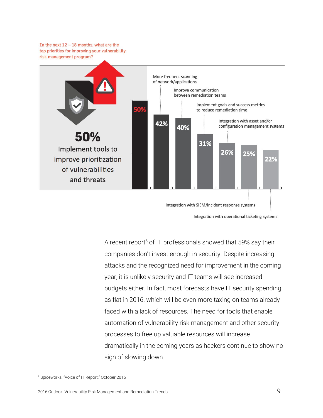In the next  $12 - 18$  months, what are the top priorities for improving your vulnerability risk management program?



Integration with operational ticketing systems

A recent report<sup>6</sup> of IT professionals showed that 59% say their companies don't invest enough in security. Despite increasing attacks and the recognized need for improvement in the coming year, it is unlikely security and IT teams will see increased budgets either. In fact, most forecasts have IT security spending as flat in 2016, which will be even more taxing on teams already faced with a lack of resources. The need for tools that enable automation of vulnerability risk management and other security processes to free up valuable resources will increase dramatically in the coming years as hackers continue to show no sign of slowing down.

<sup>6</sup> Spiceworks, "Voice of IT Report," October 2015